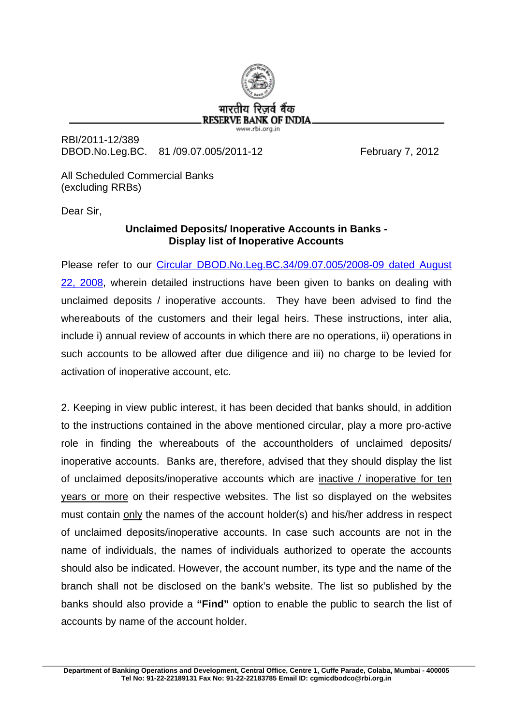

RBI/2011-12/389 DBOD.No.Leg.BC. 81 /09.07.005/2011-12 February 7, 2012

All Scheduled Commercial Banks (excluding RRBs)

Dear Sir,

## **Unclaimed Deposits/ Inoperative Accounts in Banks - Display list of Inoperative Accounts**

Please refer to our [Circular DBOD.No.Leg.BC.34/09.07.005/2008-09 dated August](http://www.rbi.org.in/scripts/NotificationUser.aspx?Id=4430&Mode=0)  [22, 2008,](http://www.rbi.org.in/scripts/NotificationUser.aspx?Id=4430&Mode=0) wherein detailed instructions have been given to banks on dealing with unclaimed deposits / inoperative accounts. They have been advised to find the whereabouts of the customers and their legal heirs. These instructions, inter alia, include i) annual review of accounts in which there are no operations, ii) operations in such accounts to be allowed after due diligence and iii) no charge to be levied for activation of inoperative account, etc.

2. Keeping in view public interest, it has been decided that banks should, in addition to the instructions contained in the above mentioned circular, play a more pro-active role in finding the whereabouts of the accountholders of unclaimed deposits/ inoperative accounts. Banks are, therefore, advised that they should display the list of unclaimed deposits/inoperative accounts which are inactive / inoperative for ten years or more on their respective websites. The list so displayed on the websites must contain only the names of the account holder(s) and his/her address in respect of unclaimed deposits/inoperative accounts. In case such accounts are not in the name of individuals, the names of individuals authorized to operate the accounts should also be indicated. However, the account number, its type and the name of the branch shall not be disclosed on the bank's website. The list so published by the banks should also provide a **"Find"** option to enable the public to search the list of accounts by name of the account holder.